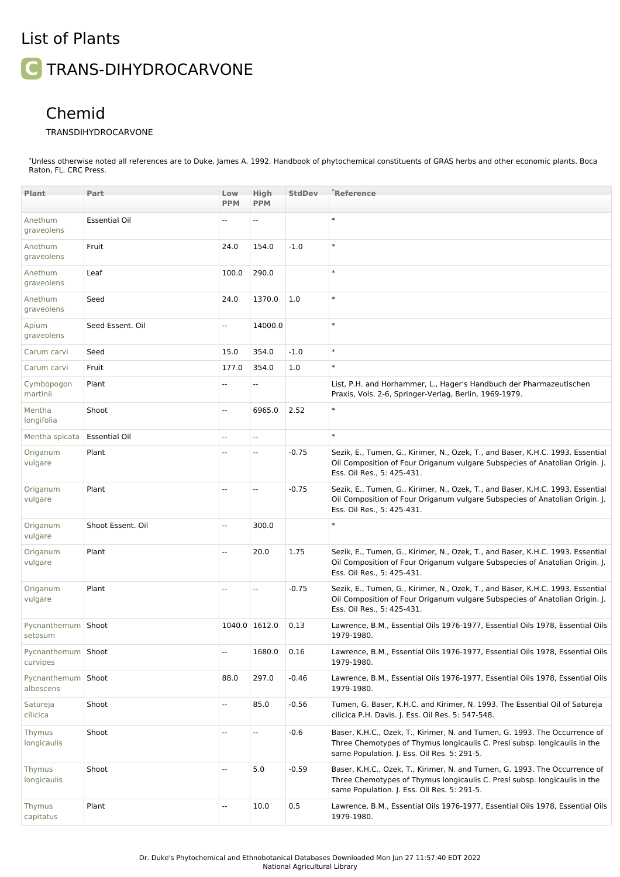## List of Plants

**C** TRANS-DIHYDROCARVONE

## Chemid

## TRANSDIHYDROCARVONE

\*Unless otherwise noted all references are to Duke, James A. 1992. Handbook of phytochemical constituents of GRAS herbs and other economic plants. Boca Raton, FL. CRC Press.

| <b>Plant</b>                      | Part                 | Low                      | High                     | <b>StdDev</b> | <sup>*</sup> Reference                                                                                                                                                                                 |
|-----------------------------------|----------------------|--------------------------|--------------------------|---------------|--------------------------------------------------------------------------------------------------------------------------------------------------------------------------------------------------------|
|                                   |                      | <b>PPM</b>               | <b>PPM</b>               |               |                                                                                                                                                                                                        |
| Anethum<br>graveolens             | <b>Essential Oil</b> |                          |                          |               | $\ast$                                                                                                                                                                                                 |
| Anethum<br>graveolens             | Fruit                | 24.0                     | 154.0                    | $-1.0$        | $\ast$                                                                                                                                                                                                 |
| Anethum<br>graveolens             | Leaf                 | 100.0                    | 290.0                    |               | $\ast$                                                                                                                                                                                                 |
| Anethum<br>graveolens             | Seed                 | 24.0                     | 1370.0                   | 1.0           | $\ast$                                                                                                                                                                                                 |
| Apium<br>graveolens               | Seed Essent. Oil     | $\mathbb{L}$             | 14000.0                  |               | $\ast$                                                                                                                                                                                                 |
| Carum carvi                       | Seed                 | 15.0                     | 354.0                    | $-1.0$        | $\ast$                                                                                                                                                                                                 |
| Carum carvi                       | Fruit                | 177.0                    | 354.0                    | 1.0           | $\ast$                                                                                                                                                                                                 |
| Cymbopogon<br>martinii            | Plant                |                          |                          |               | List, P.H. and Horhammer, L., Hager's Handbuch der Pharmazeutischen<br>Praxis, Vols. 2-6, Springer-Verlag, Berlin, 1969-1979.                                                                          |
| Mentha<br>longifolia              | Shoot                | $\sim$                   | 6965.0                   | 2.52          | $\ast$                                                                                                                                                                                                 |
| Mentha spicata                    | <b>Essential Oil</b> | $\overline{\phantom{a}}$ | Ξ.                       |               | $\ast$                                                                                                                                                                                                 |
| Origanum<br>vulgare               | Plant                |                          |                          | $-0.75$       | Sezik, E., Tumen, G., Kirimer, N., Ozek, T., and Baser, K.H.C. 1993. Essential<br>Oil Composition of Four Origanum vulgare Subspecies of Anatolian Origin. J.<br>Ess. Oil Res., 5: 425-431.            |
| Origanum<br>vulgare               | Plant                |                          | Ш,                       | $-0.75$       | Sezik, E., Tumen, G., Kirimer, N., Ozek, T., and Baser, K.H.C. 1993. Essential<br>Oil Composition of Four Origanum vulgare Subspecies of Anatolian Origin. J.<br>Ess. Oil Res., 5: 425-431.            |
| Origanum<br>vulgare               | Shoot Essent. Oil    | $\mathbf{L}$             | 300.0                    |               | $\ast$                                                                                                                                                                                                 |
| Origanum<br>vulgare               | Plant                | $\sim$                   | 20.0                     | 1.75          | Sezik, E., Tumen, G., Kirimer, N., Ozek, T., and Baser, K.H.C. 1993. Essential<br>Oil Composition of Four Origanum vulgare Subspecies of Anatolian Origin. J.<br>Ess. Oil Res., 5: 425-431.            |
| Origanum<br>vulgare               | Plant                |                          | $\overline{\phantom{a}}$ | $-0.75$       | Sezik, E., Tumen, G., Kirimer, N., Ozek, T., and Baser, K.H.C. 1993. Essential<br>Oil Composition of Four Origanum vulgare Subspecies of Anatolian Origin. J.<br>Ess. Oil Res., 5: 425-431.            |
| Pycnanthemum   Shoot<br>setosum   |                      |                          | 1040.0 1612.0            | 0.13          | Lawrence, B.M., Essential Oils 1976-1977, Essential Oils 1978, Essential Oils<br>1979-1980.                                                                                                            |
| Pycnanthemum Shoot<br>curvipes    |                      |                          | 1680.0                   | 0.16          | Lawrence, B.M., Essential Oils 1976-1977, Essential Oils 1978, Essential Oils<br>1979-1980.                                                                                                            |
| Pycnanthemum   Shoot<br>albescens |                      | 88.0                     | 297.0                    | $-0.46$       | Lawrence, B.M., Essential Oils 1976-1977, Essential Oils 1978, Essential Oils<br>1979-1980.                                                                                                            |
| Satureja<br>cilicica              | Shoot                | $\overline{\phantom{a}}$ | 85.0                     | $-0.56$       | Tumen, G. Baser, K.H.C. and Kirimer, N. 1993. The Essential Oil of Satureja<br>cilicica P.H. Davis. J. Ess. Oil Res. 5: 547-548.                                                                       |
| Thymus<br>longicaulis             | Shoot                | $\overline{a}$           | --                       | $-0.6$        | Baser, K.H.C., Ozek, T., Kirimer, N. and Tumen, G. 1993. The Occurrence of<br>Three Chemotypes of Thymus longicaulis C. Presl subsp. longicaulis in the<br>same Population. J. Ess. Oil Res. 5: 291-5. |
| Thymus<br>longicaulis             | Shoot                | $\overline{\phantom{a}}$ | 5.0                      | $-0.59$       | Baser, K.H.C., Ozek, T., Kirimer, N. and Tumen, G. 1993. The Occurrence of<br>Three Chemotypes of Thymus longicaulis C. Presl subsp. longicaulis in the<br>same Population. J. Ess. Oil Res. 5: 291-5. |
| Thymus<br>capitatus               | Plant                | $\overline{\phantom{a}}$ | 10.0                     | 0.5           | Lawrence, B.M., Essential Oils 1976-1977, Essential Oils 1978, Essential Oils<br>1979-1980.                                                                                                            |